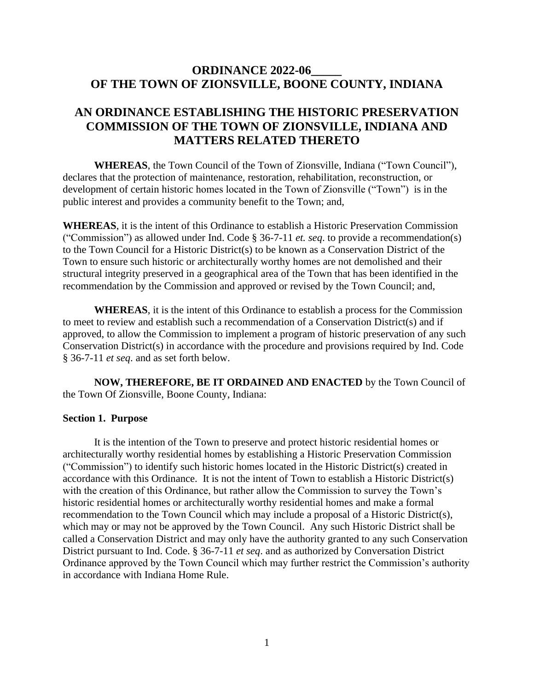## **ORDINANCE 2022-06\_\_\_\_\_ OF THE TOWN OF ZIONSVILLE, BOONE COUNTY, INDIANA**

# **AN ORDINANCE ESTABLISHING THE HISTORIC PRESERVATION COMMISSION OF THE TOWN OF ZIONSVILLE, INDIANA AND MATTERS RELATED THERETO**

**WHEREAS**, the Town Council of the Town of Zionsville, Indiana ("Town Council"), declares that the protection of maintenance, restoration, rehabilitation, reconstruction, or development of certain historic homes located in the Town of Zionsville ("Town") is in the public interest and provides a community benefit to the Town; and,

**WHEREAS**, it is the intent of this Ordinance to establish a Historic Preservation Commission ("Commission") as allowed under Ind. Code § 36-7-11 *et. seq*. to provide a recommendation(s) to the Town Council for a Historic District(s) to be known as a Conservation District of the Town to ensure such historic or architecturally worthy homes are not demolished and their structural integrity preserved in a geographical area of the Town that has been identified in the recommendation by the Commission and approved or revised by the Town Council; and,

**WHEREAS**, it is the intent of this Ordinance to establish a process for the Commission to meet to review and establish such a recommendation of a Conservation District(s) and if approved, to allow the Commission to implement a program of historic preservation of any such Conservation District(s) in accordance with the procedure and provisions required by Ind. Code § 36-7-11 *et seq*. and as set forth below.

**NOW, THEREFORE, BE IT ORDAINED AND ENACTED** by the Town Council of the Town Of Zionsville, Boone County, Indiana:

#### **Section 1. Purpose**

It is the intention of the Town to preserve and protect historic residential homes or architecturally worthy residential homes by establishing a Historic Preservation Commission ("Commission") to identify such historic homes located in the Historic District(s) created in accordance with this Ordinance. It is not the intent of Town to establish a Historic District(s) with the creation of this Ordinance, but rather allow the Commission to survey the Town's historic residential homes or architecturally worthy residential homes and make a formal recommendation to the Town Council which may include a proposal of a Historic District(s), which may or may not be approved by the Town Council. Any such Historic District shall be called a Conservation District and may only have the authority granted to any such Conservation District pursuant to Ind. Code. § 36-7-11 *et seq*. and as authorized by Conversation District Ordinance approved by the Town Council which may further restrict the Commission's authority in accordance with Indiana Home Rule.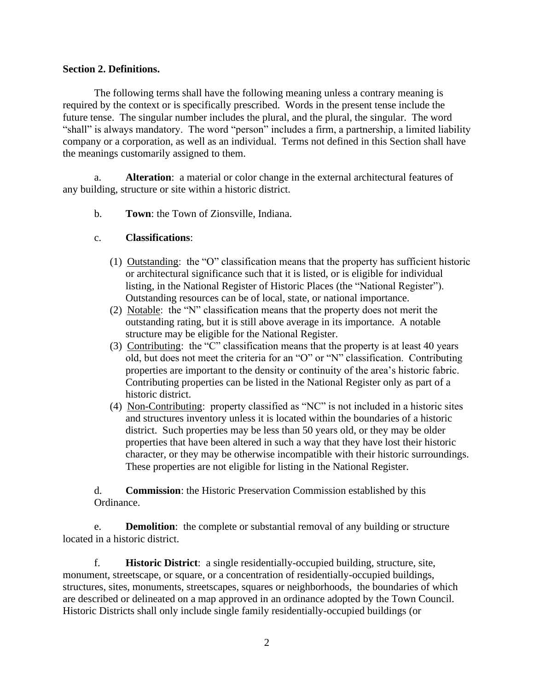#### **Section 2. Definitions.**

The following terms shall have the following meaning unless a contrary meaning is required by the context or is specifically prescribed. Words in the present tense include the future tense. The singular number includes the plural, and the plural, the singular. The word "shall" is always mandatory. The word "person" includes a firm, a partnership, a limited liability company or a corporation, as well as an individual. Terms not defined in this Section shall have the meanings customarily assigned to them.

a. **Alteration**: a material or color change in the external architectural features of any building, structure or site within a historic district.

- b. **Town**: the Town of Zionsville, Indiana.
- c. **Classifications**:
	- (1) Outstanding: the "O" classification means that the property has sufficient historic or architectural significance such that it is listed, or is eligible for individual listing, in the National Register of Historic Places (the "National Register"). Outstanding resources can be of local, state, or national importance.
	- (2) Notable: the "N" classification means that the property does not merit the outstanding rating, but it is still above average in its importance. A notable structure may be eligible for the National Register.
	- (3) Contributing: the "C" classification means that the property is at least 40 years old, but does not meet the criteria for an "O" or "N" classification. Contributing properties are important to the density or continuity of the area's historic fabric. Contributing properties can be listed in the National Register only as part of a historic district.
	- (4) Non-Contributing: property classified as "NC" is not included in a historic sites and structures inventory unless it is located within the boundaries of a historic district. Such properties may be less than 50 years old, or they may be older properties that have been altered in such a way that they have lost their historic character, or they may be otherwise incompatible with their historic surroundings. These properties are not eligible for listing in the National Register.

d. **Commission**: the Historic Preservation Commission established by this Ordinance.

e. **Demolition**: the complete or substantial removal of any building or structure located in a historic district.

f. **Historic District**: a single residentially-occupied building, structure, site, monument, streetscape, or square, or a concentration of residentially-occupied buildings, structures, sites, monuments, streetscapes, squares or neighborhoods, the boundaries of which are described or delineated on a map approved in an ordinance adopted by the Town Council. Historic Districts shall only include single family residentially-occupied buildings (or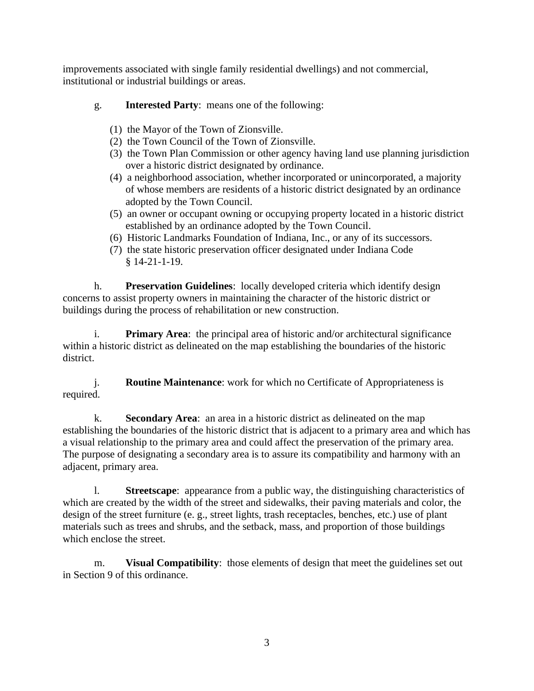improvements associated with single family residential dwellings) and not commercial, institutional or industrial buildings or areas.

- g. **Interested Party**: means one of the following:
	- (1) the Mayor of the Town of Zionsville.
	- (2) the Town Council of the Town of Zionsville.
	- (3) the Town Plan Commission or other agency having land use planning jurisdiction over a historic district designated by ordinance.
	- (4) a neighborhood association, whether incorporated or unincorporated, a majority of whose members are residents of a historic district designated by an ordinance adopted by the Town Council.
	- (5) an owner or occupant owning or occupying property located in a historic district established by an ordinance adopted by the Town Council.
	- (6) Historic Landmarks Foundation of Indiana, Inc., or any of its successors.
	- (7) the state historic preservation officer designated under Indiana Code § 14-21-1-19.

h. **Preservation Guidelines**: locally developed criteria which identify design concerns to assist property owners in maintaining the character of the historic district or buildings during the process of rehabilitation or new construction.

i. **Primary Area**: the principal area of historic and/or architectural significance within a historic district as delineated on the map establishing the boundaries of the historic district.

j. **Routine Maintenance**: work for which no Certificate of Appropriateness is required.

k. **Secondary Area**: an area in a historic district as delineated on the map establishing the boundaries of the historic district that is adjacent to a primary area and which has a visual relationship to the primary area and could affect the preservation of the primary area. The purpose of designating a secondary area is to assure its compatibility and harmony with an adjacent, primary area.

l. **Streetscape**: appearance from a public way, the distinguishing characteristics of which are created by the width of the street and sidewalks, their paving materials and color, the design of the street furniture (e. g., street lights, trash receptacles, benches, etc.) use of plant materials such as trees and shrubs, and the setback, mass, and proportion of those buildings which enclose the street.

m. **Visual Compatibility**: those elements of design that meet the guidelines set out in Section 9 of this ordinance.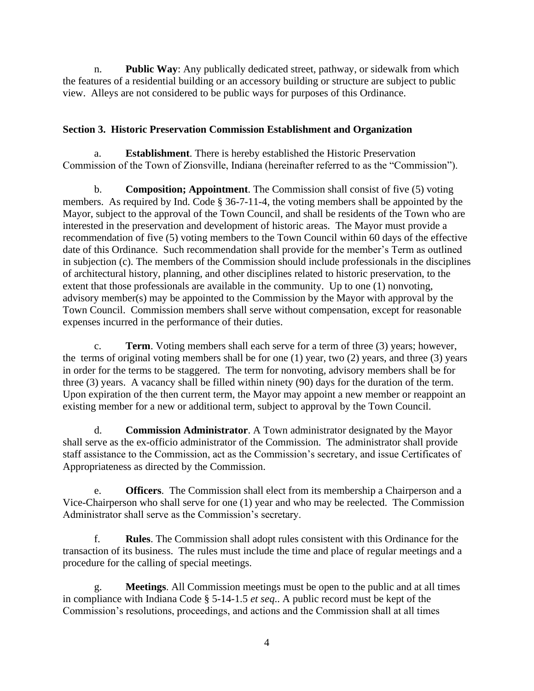n. **Public Way**: Any publically dedicated street, pathway, or sidewalk from which the features of a residential building or an accessory building or structure are subject to public view. Alleys are not considered to be public ways for purposes of this Ordinance.

## **Section 3. Historic Preservation Commission Establishment and Organization**

a. **Establishment**. There is hereby established the Historic Preservation Commission of the Town of Zionsville, Indiana (hereinafter referred to as the "Commission").

b. **Composition; Appointment**. The Commission shall consist of five (5) voting members. As required by Ind. Code § 36-7-11-4, the voting members shall be appointed by the Mayor, subject to the approval of the Town Council, and shall be residents of the Town who are interested in the preservation and development of historic areas. The Mayor must provide a recommendation of five (5) voting members to the Town Council within 60 days of the effective date of this Ordinance. Such recommendation shall provide for the member's Term as outlined in subjection (c). The members of the Commission should include professionals in the disciplines of architectural history, planning, and other disciplines related to historic preservation, to the extent that those professionals are available in the community. Up to one (1) nonvoting, advisory member(s) may be appointed to the Commission by the Mayor with approval by the Town Council. Commission members shall serve without compensation, except for reasonable expenses incurred in the performance of their duties.

c. **Term**. Voting members shall each serve for a term of three (3) years; however, the terms of original voting members shall be for one (1) year, two (2) years, and three (3) years in order for the terms to be staggered. The term for nonvoting, advisory members shall be for three (3) years. A vacancy shall be filled within ninety (90) days for the duration of the term. Upon expiration of the then current term, the Mayor may appoint a new member or reappoint an existing member for a new or additional term, subject to approval by the Town Council.

d. **Commission Administrator**. A Town administrator designated by the Mayor shall serve as the ex-officio administrator of the Commission. The administrator shall provide staff assistance to the Commission, act as the Commission's secretary, and issue Certificates of Appropriateness as directed by the Commission.

e. **Officers**. The Commission shall elect from its membership a Chairperson and a Vice-Chairperson who shall serve for one (1) year and who may be reelected. The Commission Administrator shall serve as the Commission's secretary.

f. **Rules**. The Commission shall adopt rules consistent with this Ordinance for the transaction of its business. The rules must include the time and place of regular meetings and a procedure for the calling of special meetings.

g. **Meetings**. All Commission meetings must be open to the public and at all times in compliance with Indiana Code § 5-14-1.5 *et seq*.. A public record must be kept of the Commission's resolutions, proceedings, and actions and the Commission shall at all times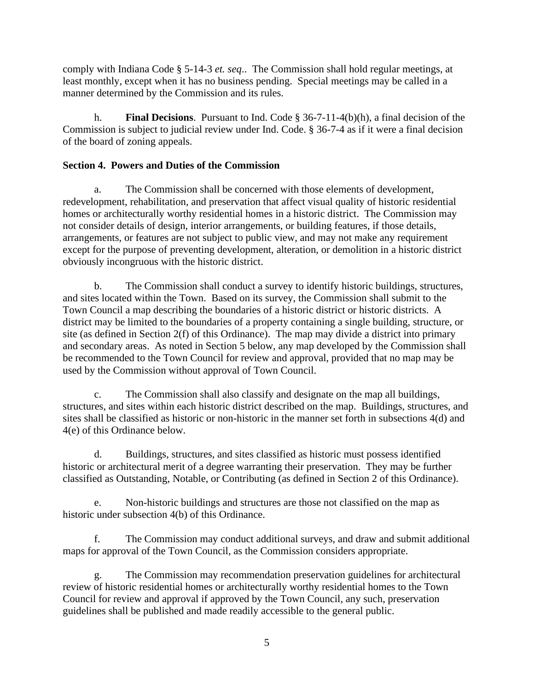comply with Indiana Code § 5-14-3 *et. seq*.. The Commission shall hold regular meetings, at least monthly, except when it has no business pending. Special meetings may be called in a manner determined by the Commission and its rules.

h. **Final Decisions**. Pursuant to Ind. Code § 36-7-11-4(b)(h), a final decision of the Commission is subject to judicial review under Ind. Code. § 36-7-4 as if it were a final decision of the board of zoning appeals.

## **Section 4. Powers and Duties of the Commission**

a. The Commission shall be concerned with those elements of development, redevelopment, rehabilitation, and preservation that affect visual quality of historic residential homes or architecturally worthy residential homes in a historic district. The Commission may not consider details of design, interior arrangements, or building features, if those details, arrangements, or features are not subject to public view, and may not make any requirement except for the purpose of preventing development, alteration, or demolition in a historic district obviously incongruous with the historic district.

b. The Commission shall conduct a survey to identify historic buildings, structures, and sites located within the Town. Based on its survey, the Commission shall submit to the Town Council a map describing the boundaries of a historic district or historic districts. A district may be limited to the boundaries of a property containing a single building, structure, or site (as defined in Section 2(f) of this Ordinance). The map may divide a district into primary and secondary areas. As noted in Section 5 below, any map developed by the Commission shall be recommended to the Town Council for review and approval, provided that no map may be used by the Commission without approval of Town Council.

c. The Commission shall also classify and designate on the map all buildings, structures, and sites within each historic district described on the map. Buildings, structures, and sites shall be classified as historic or non-historic in the manner set forth in subsections 4(d) and 4(e) of this Ordinance below.

d. Buildings, structures, and sites classified as historic must possess identified historic or architectural merit of a degree warranting their preservation. They may be further classified as Outstanding, Notable, or Contributing (as defined in Section 2 of this Ordinance).

e. Non-historic buildings and structures are those not classified on the map as historic under subsection 4(b) of this Ordinance.

f. The Commission may conduct additional surveys, and draw and submit additional maps for approval of the Town Council, as the Commission considers appropriate.

g. The Commission may recommendation preservation guidelines for architectural review of historic residential homes or architecturally worthy residential homes to the Town Council for review and approval if approved by the Town Council, any such, preservation guidelines shall be published and made readily accessible to the general public.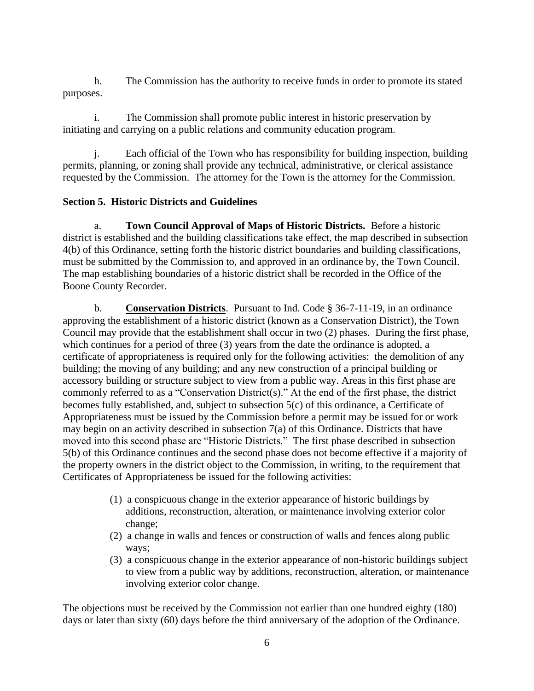h. The Commission has the authority to receive funds in order to promote its stated purposes.

i. The Commission shall promote public interest in historic preservation by initiating and carrying on a public relations and community education program.

j. Each official of the Town who has responsibility for building inspection, building permits, planning, or zoning shall provide any technical, administrative, or clerical assistance requested by the Commission. The attorney for the Town is the attorney for the Commission.

## **Section 5. Historic Districts and Guidelines**

a. **Town Council Approval of Maps of Historic Districts.** Before a historic district is established and the building classifications take effect, the map described in subsection 4(b) of this Ordinance, setting forth the historic district boundaries and building classifications, must be submitted by the Commission to, and approved in an ordinance by, the Town Council. The map establishing boundaries of a historic district shall be recorded in the Office of the Boone County Recorder.

b. **Conservation Districts**. Pursuant to Ind. Code § 36-7-11-19, in an ordinance approving the establishment of a historic district (known as a Conservation District), the Town Council may provide that the establishment shall occur in two (2) phases. During the first phase, which continues for a period of three (3) years from the date the ordinance is adopted, a certificate of appropriateness is required only for the following activities: the demolition of any building; the moving of any building; and any new construction of a principal building or accessory building or structure subject to view from a public way. Areas in this first phase are commonly referred to as a "Conservation District(s)." At the end of the first phase, the district becomes fully established, and, subject to subsection 5(c) of this ordinance, a Certificate of Appropriateness must be issued by the Commission before a permit may be issued for or work may begin on an activity described in subsection 7(a) of this Ordinance. Districts that have moved into this second phase are "Historic Districts." The first phase described in subsection 5(b) of this Ordinance continues and the second phase does not become effective if a majority of the property owners in the district object to the Commission, in writing, to the requirement that Certificates of Appropriateness be issued for the following activities:

- (1) a conspicuous change in the exterior appearance of historic buildings by additions, reconstruction, alteration, or maintenance involving exterior color change;
- (2) a change in walls and fences or construction of walls and fences along public ways;
- (3) a conspicuous change in the exterior appearance of non-historic buildings subject to view from a public way by additions, reconstruction, alteration, or maintenance involving exterior color change.

The objections must be received by the Commission not earlier than one hundred eighty (180) days or later than sixty (60) days before the third anniversary of the adoption of the Ordinance.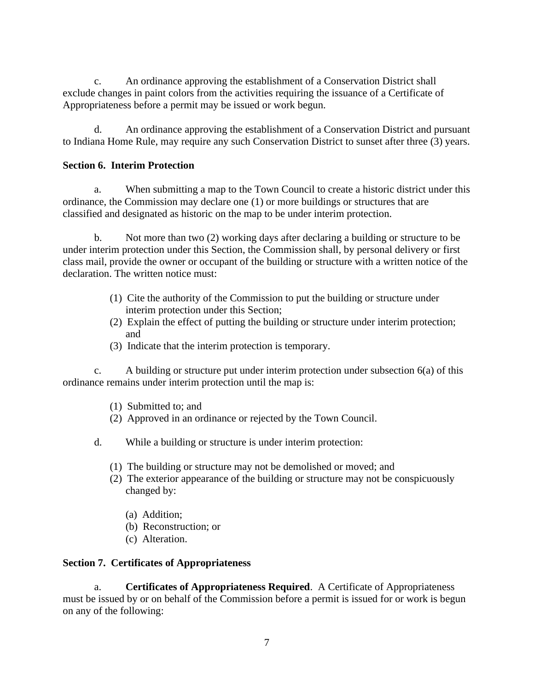c. An ordinance approving the establishment of a Conservation District shall exclude changes in paint colors from the activities requiring the issuance of a Certificate of Appropriateness before a permit may be issued or work begun.

d. An ordinance approving the establishment of a Conservation District and pursuant to Indiana Home Rule, may require any such Conservation District to sunset after three (3) years.

## **Section 6. Interim Protection**

a. When submitting a map to the Town Council to create a historic district under this ordinance, the Commission may declare one (1) or more buildings or structures that are classified and designated as historic on the map to be under interim protection.

b. Not more than two (2) working days after declaring a building or structure to be under interim protection under this Section, the Commission shall, by personal delivery or first class mail, provide the owner or occupant of the building or structure with a written notice of the declaration. The written notice must:

- (1) Cite the authority of the Commission to put the building or structure under interim protection under this Section;
- (2) Explain the effect of putting the building or structure under interim protection; and
- (3) Indicate that the interim protection is temporary.

c. A building or structure put under interim protection under subsection  $6(a)$  of this ordinance remains under interim protection until the map is:

- (1) Submitted to; and
- (2) Approved in an ordinance or rejected by the Town Council.
- d. While a building or structure is under interim protection:
	- (1) The building or structure may not be demolished or moved; and
	- (2) The exterior appearance of the building or structure may not be conspicuously changed by:
		- (a) Addition;
		- (b) Reconstruction; or
		- (c) Alteration.

#### **Section 7. Certificates of Appropriateness**

a. **Certificates of Appropriateness Required**. A Certificate of Appropriateness must be issued by or on behalf of the Commission before a permit is issued for or work is begun on any of the following: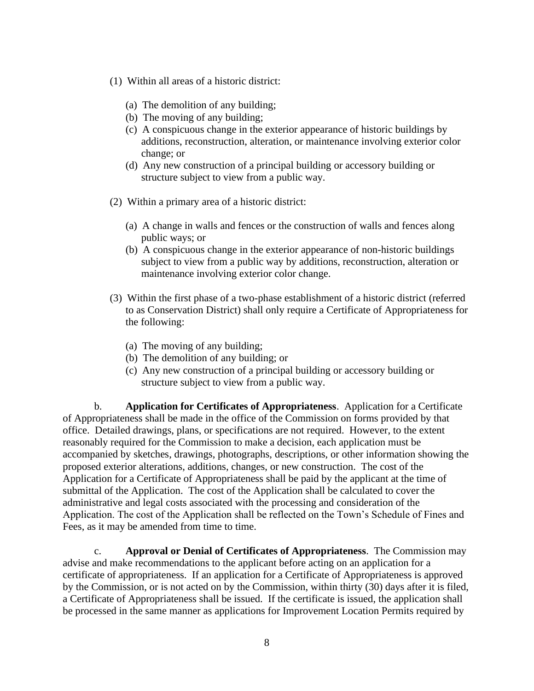- (1) Within all areas of a historic district:
	- (a) The demolition of any building;
	- (b) The moving of any building;
	- (c) A conspicuous change in the exterior appearance of historic buildings by additions, reconstruction, alteration, or maintenance involving exterior color change; or
	- (d) Any new construction of a principal building or accessory building or structure subject to view from a public way.
- (2) Within a primary area of a historic district:
	- (a) A change in walls and fences or the construction of walls and fences along public ways; or
	- (b) A conspicuous change in the exterior appearance of non-historic buildings subject to view from a public way by additions, reconstruction, alteration or maintenance involving exterior color change.
- (3) Within the first phase of a two-phase establishment of a historic district (referred to as Conservation District) shall only require a Certificate of Appropriateness for the following:
	- (a) The moving of any building;
	- (b) The demolition of any building; or
	- (c) Any new construction of a principal building or accessory building or structure subject to view from a public way.

b. **Application for Certificates of Appropriateness**. Application for a Certificate of Appropriateness shall be made in the office of the Commission on forms provided by that office. Detailed drawings, plans, or specifications are not required. However, to the extent reasonably required for the Commission to make a decision, each application must be accompanied by sketches, drawings, photographs, descriptions, or other information showing the proposed exterior alterations, additions, changes, or new construction. The cost of the Application for a Certificate of Appropriateness shall be paid by the applicant at the time of submittal of the Application. The cost of the Application shall be calculated to cover the administrative and legal costs associated with the processing and consideration of the Application. The cost of the Application shall be reflected on the Town's Schedule of Fines and Fees, as it may be amended from time to time.

c. **Approval or Denial of Certificates of Appropriateness**. The Commission may advise and make recommendations to the applicant before acting on an application for a certificate of appropriateness. If an application for a Certificate of Appropriateness is approved by the Commission, or is not acted on by the Commission, within thirty (30) days after it is filed, a Certificate of Appropriateness shall be issued. If the certificate is issued, the application shall be processed in the same manner as applications for Improvement Location Permits required by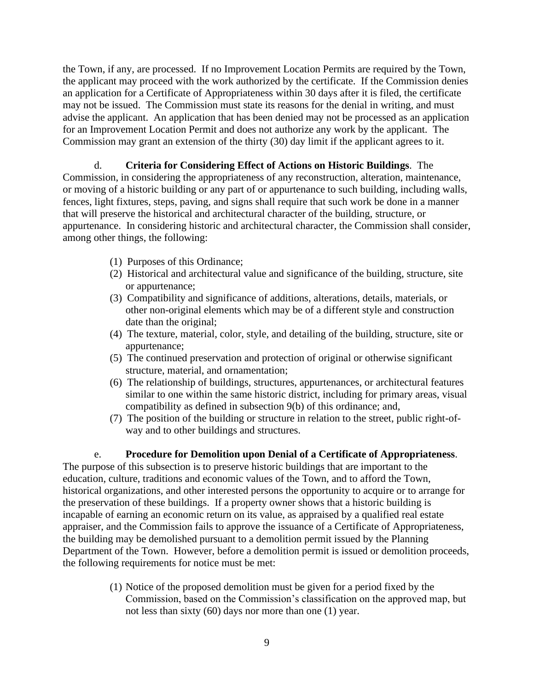the Town, if any, are processed. If no Improvement Location Permits are required by the Town, the applicant may proceed with the work authorized by the certificate. If the Commission denies an application for a Certificate of Appropriateness within 30 days after it is filed, the certificate may not be issued. The Commission must state its reasons for the denial in writing, and must advise the applicant. An application that has been denied may not be processed as an application for an Improvement Location Permit and does not authorize any work by the applicant. The Commission may grant an extension of the thirty (30) day limit if the applicant agrees to it.

### d. **Criteria for Considering Effect of Actions on Historic Buildings**. The Commission, in considering the appropriateness of any reconstruction, alteration, maintenance, or moving of a historic building or any part of or appurtenance to such building, including walls, fences, light fixtures, steps, paving, and signs shall require that such work be done in a manner that will preserve the historical and architectural character of the building, structure, or appurtenance. In considering historic and architectural character, the Commission shall consider, among other things, the following:

- (1) Purposes of this Ordinance;
- (2) Historical and architectural value and significance of the building, structure, site or appurtenance;
- (3) Compatibility and significance of additions, alterations, details, materials, or other non-original elements which may be of a different style and construction date than the original;
- (4) The texture, material, color, style, and detailing of the building, structure, site or appurtenance;
- (5) The continued preservation and protection of original or otherwise significant structure, material, and ornamentation;
- (6) The relationship of buildings, structures, appurtenances, or architectural features similar to one within the same historic district, including for primary areas, visual compatibility as defined in subsection 9(b) of this ordinance; and,
- (7) The position of the building or structure in relation to the street, public right-ofway and to other buildings and structures.

e. **Procedure for Demolition upon Denial of a Certificate of Appropriateness**. The purpose of this subsection is to preserve historic buildings that are important to the education, culture, traditions and economic values of the Town, and to afford the Town, historical organizations, and other interested persons the opportunity to acquire or to arrange for the preservation of these buildings. If a property owner shows that a historic building is incapable of earning an economic return on its value, as appraised by a qualified real estate appraiser, and the Commission fails to approve the issuance of a Certificate of Appropriateness, the building may be demolished pursuant to a demolition permit issued by the Planning Department of the Town. However, before a demolition permit is issued or demolition proceeds, the following requirements for notice must be met:

> (1) Notice of the proposed demolition must be given for a period fixed by the Commission, based on the Commission's classification on the approved map, but not less than sixty (60) days nor more than one (1) year.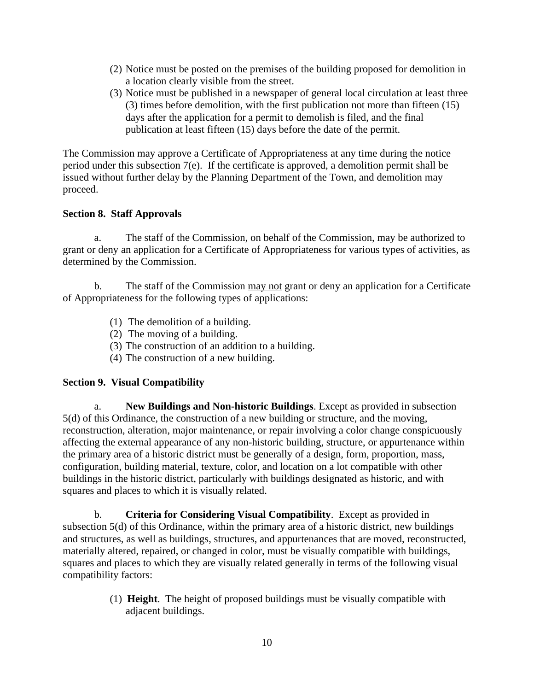- (2) Notice must be posted on the premises of the building proposed for demolition in a location clearly visible from the street.
- (3) Notice must be published in a newspaper of general local circulation at least three (3) times before demolition, with the first publication not more than fifteen (15) days after the application for a permit to demolish is filed, and the final publication at least fifteen (15) days before the date of the permit.

The Commission may approve a Certificate of Appropriateness at any time during the notice period under this subsection 7(e). If the certificate is approved, a demolition permit shall be issued without further delay by the Planning Department of the Town, and demolition may proceed.

### **Section 8. Staff Approvals**

a. The staff of the Commission, on behalf of the Commission, may be authorized to grant or deny an application for a Certificate of Appropriateness for various types of activities, as determined by the Commission.

b. The staff of the Commission may not grant or deny an application for a Certificate of Appropriateness for the following types of applications:

- (1) The demolition of a building.
- (2) The moving of a building.
- (3) The construction of an addition to a building.
- (4) The construction of a new building.

#### **Section 9. Visual Compatibility**

a. **New Buildings and Non-historic Buildings**. Except as provided in subsection 5(d) of this Ordinance, the construction of a new building or structure, and the moving, reconstruction, alteration, major maintenance, or repair involving a color change conspicuously affecting the external appearance of any non-historic building, structure, or appurtenance within the primary area of a historic district must be generally of a design, form, proportion, mass, configuration, building material, texture, color, and location on a lot compatible with other buildings in the historic district, particularly with buildings designated as historic, and with squares and places to which it is visually related.

b. **Criteria for Considering Visual Compatibility**. Except as provided in subsection 5(d) of this Ordinance, within the primary area of a historic district, new buildings and structures, as well as buildings, structures, and appurtenances that are moved, reconstructed, materially altered, repaired, or changed in color, must be visually compatible with buildings, squares and places to which they are visually related generally in terms of the following visual compatibility factors:

> (1) **Height**. The height of proposed buildings must be visually compatible with adjacent buildings.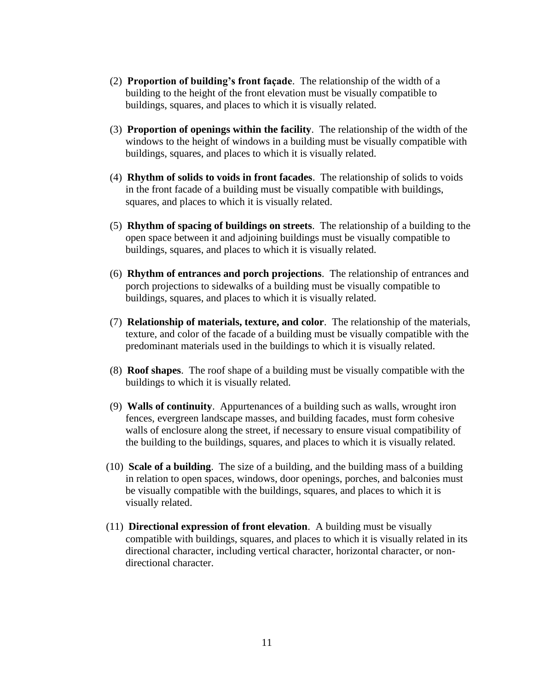- (2) **Proportion of building's front façade**. The relationship of the width of a building to the height of the front elevation must be visually compatible to buildings, squares, and places to which it is visually related.
- (3) **Proportion of openings within the facility**. The relationship of the width of the windows to the height of windows in a building must be visually compatible with buildings, squares, and places to which it is visually related.
- (4) **Rhythm of solids to voids in front facades**. The relationship of solids to voids in the front facade of a building must be visually compatible with buildings, squares, and places to which it is visually related.
- (5) **Rhythm of spacing of buildings on streets**. The relationship of a building to the open space between it and adjoining buildings must be visually compatible to buildings, squares, and places to which it is visually related.
- (6) **Rhythm of entrances and porch projections**. The relationship of entrances and porch projections to sidewalks of a building must be visually compatible to buildings, squares, and places to which it is visually related.
- (7) **Relationship of materials, texture, and color**. The relationship of the materials, texture, and color of the facade of a building must be visually compatible with the predominant materials used in the buildings to which it is visually related.
- (8) **Roof shapes**. The roof shape of a building must be visually compatible with the buildings to which it is visually related.
- (9) **Walls of continuity**. Appurtenances of a building such as walls, wrought iron fences, evergreen landscape masses, and building facades, must form cohesive walls of enclosure along the street, if necessary to ensure visual compatibility of the building to the buildings, squares, and places to which it is visually related.
- (10) **Scale of a building**. The size of a building, and the building mass of a building in relation to open spaces, windows, door openings, porches, and balconies must be visually compatible with the buildings, squares, and places to which it is visually related.
- (11) **Directional expression of front elevation**. A building must be visually compatible with buildings, squares, and places to which it is visually related in its directional character, including vertical character, horizontal character, or nondirectional character.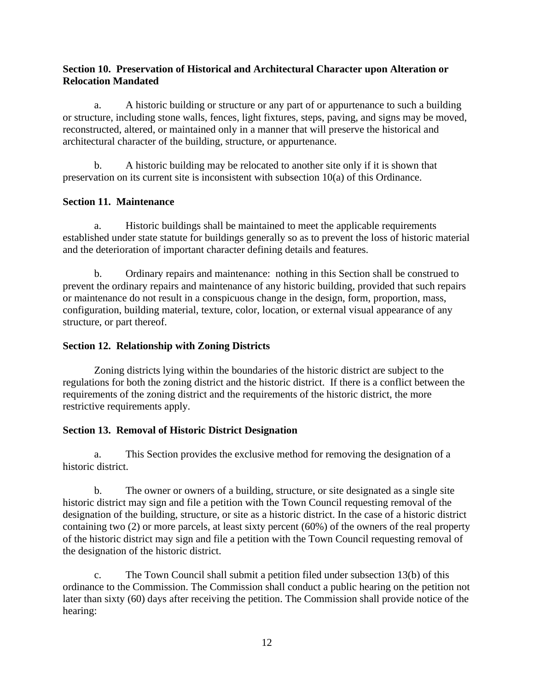### **Section 10. Preservation of Historical and Architectural Character upon Alteration or Relocation Mandated**

a. A historic building or structure or any part of or appurtenance to such a building or structure, including stone walls, fences, light fixtures, steps, paving, and signs may be moved, reconstructed, altered, or maintained only in a manner that will preserve the historical and architectural character of the building, structure, or appurtenance.

b. A historic building may be relocated to another site only if it is shown that preservation on its current site is inconsistent with subsection 10(a) of this Ordinance.

## **Section 11. Maintenance**

a. Historic buildings shall be maintained to meet the applicable requirements established under state statute for buildings generally so as to prevent the loss of historic material and the deterioration of important character defining details and features.

b. Ordinary repairs and maintenance: nothing in this Section shall be construed to prevent the ordinary repairs and maintenance of any historic building, provided that such repairs or maintenance do not result in a conspicuous change in the design, form, proportion, mass, configuration, building material, texture, color, location, or external visual appearance of any structure, or part thereof.

## **Section 12. Relationship with Zoning Districts**

Zoning districts lying within the boundaries of the historic district are subject to the regulations for both the zoning district and the historic district. If there is a conflict between the requirements of the zoning district and the requirements of the historic district, the more restrictive requirements apply.

## **Section 13. Removal of Historic District Designation**

a. This Section provides the exclusive method for removing the designation of a historic district.

b. The owner or owners of a building, structure, or site designated as a single site historic district may sign and file a petition with the Town Council requesting removal of the designation of the building, structure, or site as a historic district. In the case of a historic district containing two (2) or more parcels, at least sixty percent (60%) of the owners of the real property of the historic district may sign and file a petition with the Town Council requesting removal of the designation of the historic district.

c. The Town Council shall submit a petition filed under subsection 13(b) of this ordinance to the Commission. The Commission shall conduct a public hearing on the petition not later than sixty (60) days after receiving the petition. The Commission shall provide notice of the hearing: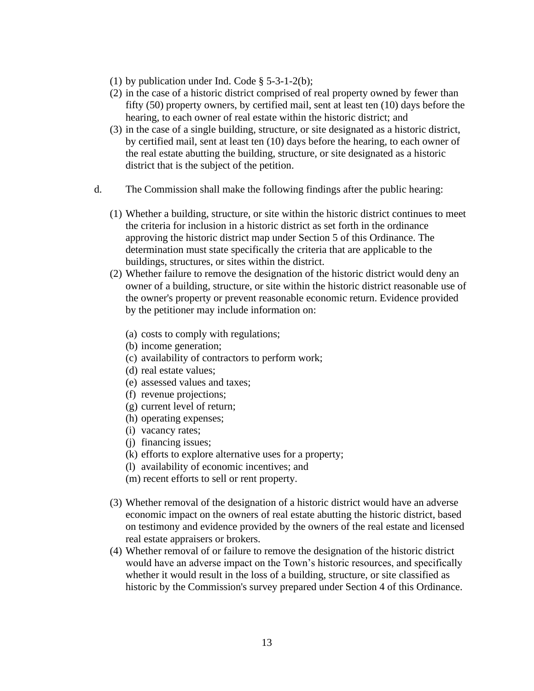- (1) by publication under Ind. Code § 5-3-1-2(b);
- (2) in the case of a historic district comprised of real property owned by fewer than fifty (50) property owners, by certified mail, sent at least ten (10) days before the hearing, to each owner of real estate within the historic district; and
- (3) in the case of a single building, structure, or site designated as a historic district, by certified mail, sent at least ten (10) days before the hearing, to each owner of the real estate abutting the building, structure, or site designated as a historic district that is the subject of the petition.
- d. The Commission shall make the following findings after the public hearing:
	- (1) Whether a building, structure, or site within the historic district continues to meet the criteria for inclusion in a historic district as set forth in the ordinance approving the historic district map under Section 5 of this Ordinance. The determination must state specifically the criteria that are applicable to the buildings, structures, or sites within the district.
	- (2) Whether failure to remove the designation of the historic district would deny an owner of a building, structure, or site within the historic district reasonable use of the owner's property or prevent reasonable economic return. Evidence provided by the petitioner may include information on:
		- (a) costs to comply with regulations;
		- (b) income generation;
		- (c) availability of contractors to perform work;
		- (d) real estate values;
		- (e) assessed values and taxes;
		- (f) revenue projections;
		- (g) current level of return;
		- (h) operating expenses;
		- (i) vacancy rates;
		- (j) financing issues;
		- (k) efforts to explore alternative uses for a property;
		- (l) availability of economic incentives; and
		- (m) recent efforts to sell or rent property.
	- (3) Whether removal of the designation of a historic district would have an adverse economic impact on the owners of real estate abutting the historic district, based on testimony and evidence provided by the owners of the real estate and licensed real estate appraisers or brokers.
	- (4) Whether removal of or failure to remove the designation of the historic district would have an adverse impact on the Town's historic resources, and specifically whether it would result in the loss of a building, structure, or site classified as historic by the Commission's survey prepared under Section 4 of this Ordinance.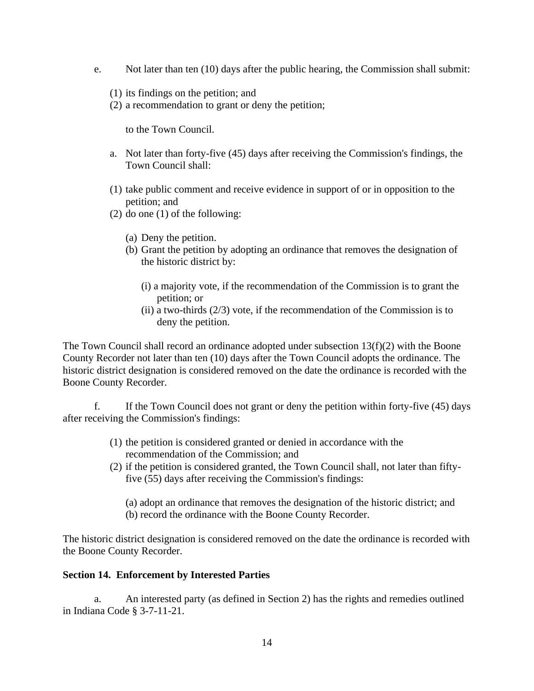- e. Not later than ten (10) days after the public hearing, the Commission shall submit:
	- (1) its findings on the petition; and
	- (2) a recommendation to grant or deny the petition;

to the Town Council.

- a. Not later than forty-five (45) days after receiving the Commission's findings, the Town Council shall:
- (1) take public comment and receive evidence in support of or in opposition to the petition; and
- (2) do one (1) of the following:
	- (a) Deny the petition.
	- (b) Grant the petition by adopting an ordinance that removes the designation of the historic district by:
		- (i) a majority vote, if the recommendation of the Commission is to grant the petition; or
		- (ii) a two-thirds  $(2/3)$  vote, if the recommendation of the Commission is to deny the petition.

The Town Council shall record an ordinance adopted under subsection  $13(f)(2)$  with the Boone County Recorder not later than ten (10) days after the Town Council adopts the ordinance. The historic district designation is considered removed on the date the ordinance is recorded with the Boone County Recorder.

f. If the Town Council does not grant or deny the petition within forty-five (45) days after receiving the Commission's findings:

- (1) the petition is considered granted or denied in accordance with the recommendation of the Commission; and
- (2) if the petition is considered granted, the Town Council shall, not later than fiftyfive (55) days after receiving the Commission's findings:
	- (a) adopt an ordinance that removes the designation of the historic district; and
	- (b) record the ordinance with the Boone County Recorder.

The historic district designation is considered removed on the date the ordinance is recorded with the Boone County Recorder.

#### **Section 14. Enforcement by Interested Parties**

a. An interested party (as defined in Section 2) has the rights and remedies outlined in Indiana Code § 3-7-11-21.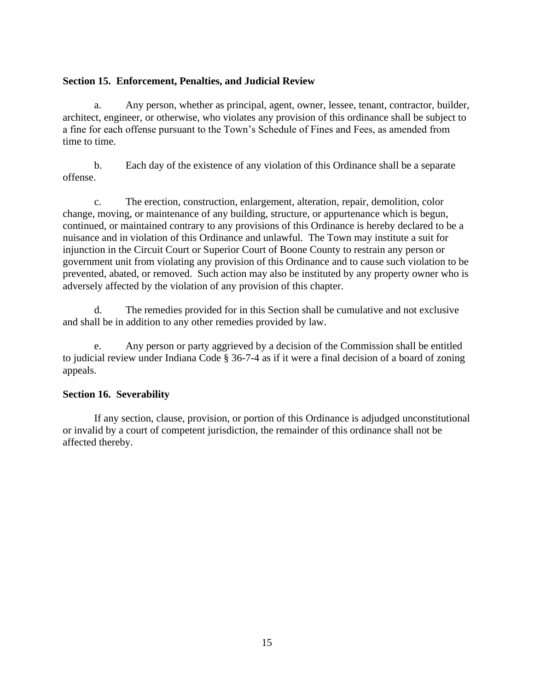### **Section 15. Enforcement, Penalties, and Judicial Review**

a. Any person, whether as principal, agent, owner, lessee, tenant, contractor, builder, architect, engineer, or otherwise, who violates any provision of this ordinance shall be subject to a fine for each offense pursuant to the Town's Schedule of Fines and Fees, as amended from time to time.

b. Each day of the existence of any violation of this Ordinance shall be a separate offense.

c. The erection, construction, enlargement, alteration, repair, demolition, color change, moving, or maintenance of any building, structure, or appurtenance which is begun, continued, or maintained contrary to any provisions of this Ordinance is hereby declared to be a nuisance and in violation of this Ordinance and unlawful. The Town may institute a suit for injunction in the Circuit Court or Superior Court of Boone County to restrain any person or government unit from violating any provision of this Ordinance and to cause such violation to be prevented, abated, or removed. Such action may also be instituted by any property owner who is adversely affected by the violation of any provision of this chapter.

d. The remedies provided for in this Section shall be cumulative and not exclusive and shall be in addition to any other remedies provided by law.

e. Any person or party aggrieved by a decision of the Commission shall be entitled to judicial review under Indiana Code § 36-7-4 as if it were a final decision of a board of zoning appeals.

## **Section 16. Severability**

If any section, clause, provision, or portion of this Ordinance is adjudged unconstitutional or invalid by a court of competent jurisdiction, the remainder of this ordinance shall not be affected thereby.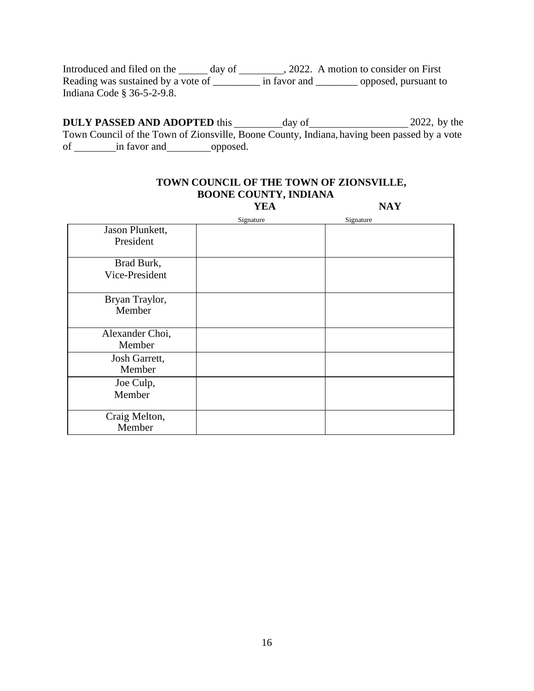Introduced and filed on the \_\_\_\_\_\_ day of \_\_\_\_\_\_\_\_, 2022. A motion to consider on First Reading was sustained by a vote of \_\_\_\_\_\_\_\_\_ in favor and \_\_\_\_\_\_\_\_ opposed, pursuant to Indiana Code § 36-5-2-9.8.

**DULY PASSED AND ADOPTED** this day of 2022, by the Town Council of the Town of Zionsville, Boone County, Indiana, having been passed by a vote of in favor and opposed.

|                              | <b>YEA</b> | <b>NAY</b> |
|------------------------------|------------|------------|
|                              | Signature  | Signature  |
| Jason Plunkett,<br>President |            |            |
| Brad Burk,<br>Vice-President |            |            |
| Bryan Traylor,<br>Member     |            |            |
| Alexander Choi,<br>Member    |            |            |
| Josh Garrett,<br>Member      |            |            |
| Joe Culp,<br>Member          |            |            |
| Craig Melton,<br>Member      |            |            |

## **TOWN COUNCIL OF THE TOWN OF ZIONSVILLE, BOONE COUNTY, INDIANA**